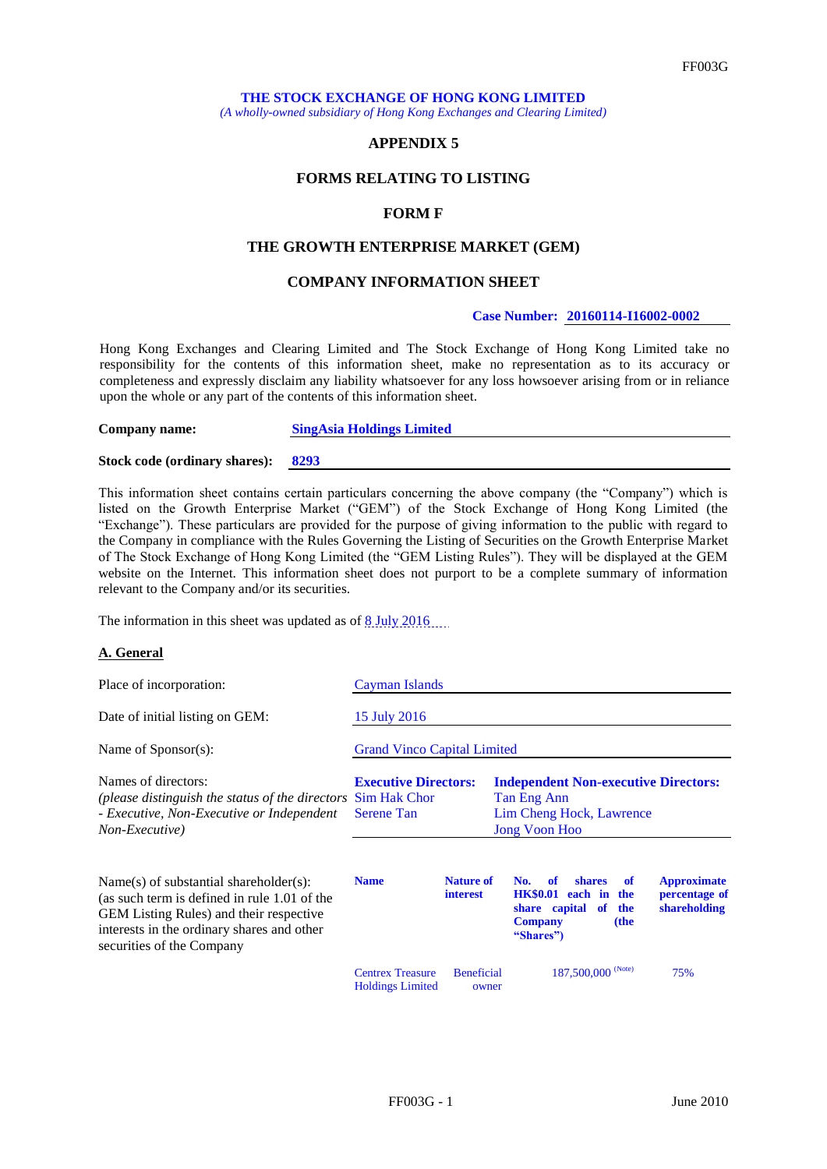*(A wholly-owned subsidiary of Hong Kong Exchanges and Clearing Limited)*

### **APPENDIX 5**

# **FORMS RELATING TO LISTING**

#### **FORM F**

### **THE GROWTH ENTERPRISE MARKET (GEM)**

### **COMPANY INFORMATION SHEET**

### **Case Number: 20160114-I16002-0002**

Hong Kong Exchanges and Clearing Limited and The Stock Exchange of Hong Kong Limited take no responsibility for the contents of this information sheet, make no representation as to its accuracy or completeness and expressly disclaim any liability whatsoever for any loss howsoever arising from or in reliance upon the whole or any part of the contents of this information sheet.

**Company name: SingAsia Holdings Limited**

**Stock code (ordinary shares): 8293**

This information sheet contains certain particulars concerning the above company (the "Company") which is listed on the Growth Enterprise Market ("GEM") of the Stock Exchange of Hong Kong Limited (the "Exchange"). These particulars are provided for the purpose of giving information to the public with regard to the Company in compliance with the Rules Governing the Listing of Securities on the Growth Enterprise Market of The Stock Exchange of Hong Kong Limited (the "GEM Listing Rules"). They will be displayed at the GEM website on the Internet. This information sheet does not purport to be a complete summary of information relevant to the Company and/or its securities.

The information in this sheet was updated as of  $8$  July 2016...

#### **A. General**

| Place of incorporation:                                                                                                                                                                                               | Cayman Islands                                                          |                                     |                                                                                                                                                                                         |  |  |
|-----------------------------------------------------------------------------------------------------------------------------------------------------------------------------------------------------------------------|-------------------------------------------------------------------------|-------------------------------------|-----------------------------------------------------------------------------------------------------------------------------------------------------------------------------------------|--|--|
| Date of initial listing on GEM:                                                                                                                                                                                       | 15 July 2016                                                            |                                     |                                                                                                                                                                                         |  |  |
| Name of $S_{\text{ponsor}}(s)$ :                                                                                                                                                                                      | <b>Grand Vinco Capital Limited</b>                                      |                                     |                                                                                                                                                                                         |  |  |
| Names of directors:<br>(please distinguish the status of the directors)<br>- Executive, Non-Executive or Independent<br>Non-Executive)                                                                                | <b>Executive Directors:</b><br><b>Sim Hak Chor</b><br><b>Serene Tan</b> |                                     | <b>Independent Non-executive Directors:</b><br>Tan Eng Ann<br>Lim Cheng Hock, Lawrence<br><b>Jong Voon Hoo</b>                                                                          |  |  |
| $Name(s)$ of substantial shareholder(s):<br>(as such term is defined in rule 1.01 of the<br><b>GEM</b> Listing Rules) and their respective<br>interests in the ordinary shares and other<br>securities of the Company | <b>Name</b>                                                             | <b>Nature of</b><br><b>interest</b> | <b>Approximate</b><br>No.<br>of<br><b>shares</b><br>of<br>HK\$0.01 each in<br>percentage of<br>the<br>shareholding<br>share capital<br>of<br>the<br><b>Company</b><br>(the<br>"Shares") |  |  |
|                                                                                                                                                                                                                       | <b>Centrex Treasure</b><br><b>Holdings Limited</b>                      | <b>Beneficial</b><br>owner          | 187,500,000 (Note)<br>75%                                                                                                                                                               |  |  |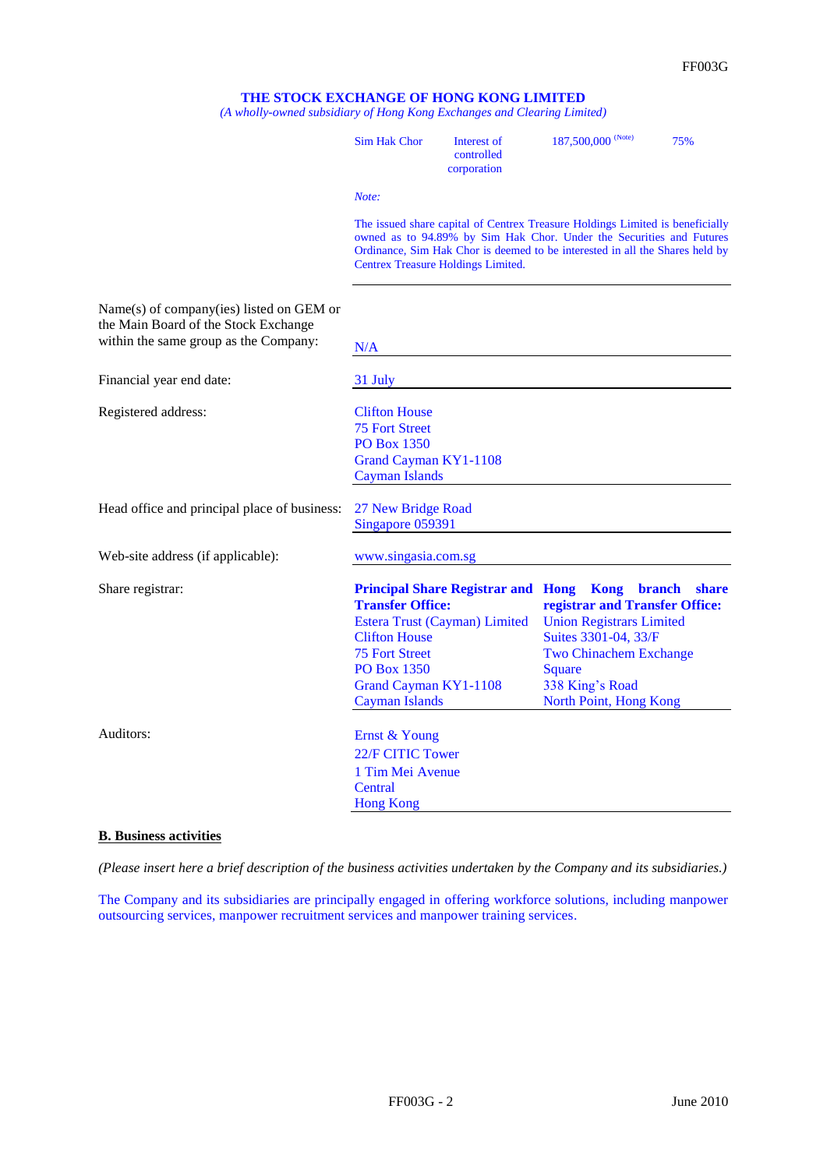*(A wholly-owned subsidiary of Hong Kong Exchanges and Clearing Limited)*

|                                                                                                                           | <b>Sim Hak Chor</b>                                                                                                                                                                                                                                                         | Interest of<br>controlled<br>corporation                                        | 187,500,000 (Note)                                                                                                                                                                | 75%                           |  |
|---------------------------------------------------------------------------------------------------------------------------|-----------------------------------------------------------------------------------------------------------------------------------------------------------------------------------------------------------------------------------------------------------------------------|---------------------------------------------------------------------------------|-----------------------------------------------------------------------------------------------------------------------------------------------------------------------------------|-------------------------------|--|
|                                                                                                                           | Note:                                                                                                                                                                                                                                                                       |                                                                                 |                                                                                                                                                                                   |                               |  |
|                                                                                                                           | The issued share capital of Centrex Treasure Holdings Limited is beneficially<br>owned as to 94.89% by Sim Hak Chor. Under the Securities and Futures<br>Ordinance, Sim Hak Chor is deemed to be interested in all the Shares held by<br>Centrex Treasure Holdings Limited. |                                                                                 |                                                                                                                                                                                   |                               |  |
| Name(s) of company(ies) listed on GEM or<br>the Main Board of the Stock Exchange<br>within the same group as the Company: | N/A                                                                                                                                                                                                                                                                         |                                                                                 |                                                                                                                                                                                   |                               |  |
| Financial year end date:                                                                                                  | 31 July                                                                                                                                                                                                                                                                     |                                                                                 |                                                                                                                                                                                   |                               |  |
| Registered address:                                                                                                       | <b>Clifton House</b><br><b>75 Fort Street</b><br><b>PO Box 1350</b><br>Grand Cayman KY1-1108<br><b>Cayman Islands</b>                                                                                                                                                       |                                                                                 |                                                                                                                                                                                   |                               |  |
| Head office and principal place of business:                                                                              | 27 New Bridge Road<br>Singapore 059391                                                                                                                                                                                                                                      |                                                                                 |                                                                                                                                                                                   |                               |  |
| Web-site address (if applicable):                                                                                         | www.singasia.com.sg                                                                                                                                                                                                                                                         |                                                                                 |                                                                                                                                                                                   |                               |  |
| Share registrar:                                                                                                          | <b>Transfer Office:</b><br><b>Clifton House</b><br><b>75 Fort Street</b><br><b>PO Box 1350</b><br>Grand Cayman KY1-1108<br><b>Cayman Islands</b>                                                                                                                            | <b>Principal Share Registrar and Hong Kong</b><br>Estera Trust (Cayman) Limited | registrar and Transfer Office:<br><b>Union Registrars Limited</b><br>Suites 3301-04, 33/F<br><b>Two Chinachem Exchange</b><br>Square<br>338 King's Road<br>North Point, Hong Kong | <b>branch</b><br><b>share</b> |  |
| Auditors:                                                                                                                 | Ernst & Young<br>22/F CITIC Tower<br>1 Tim Mei Avenue<br>Central<br><b>Hong Kong</b>                                                                                                                                                                                        |                                                                                 |                                                                                                                                                                                   |                               |  |

## **B. Business activities**

*(Please insert here a brief description of the business activities undertaken by the Company and its subsidiaries.)*

The Company and its subsidiaries are principally engaged in offering workforce solutions, including manpower outsourcing services, manpower recruitment services and manpower training services.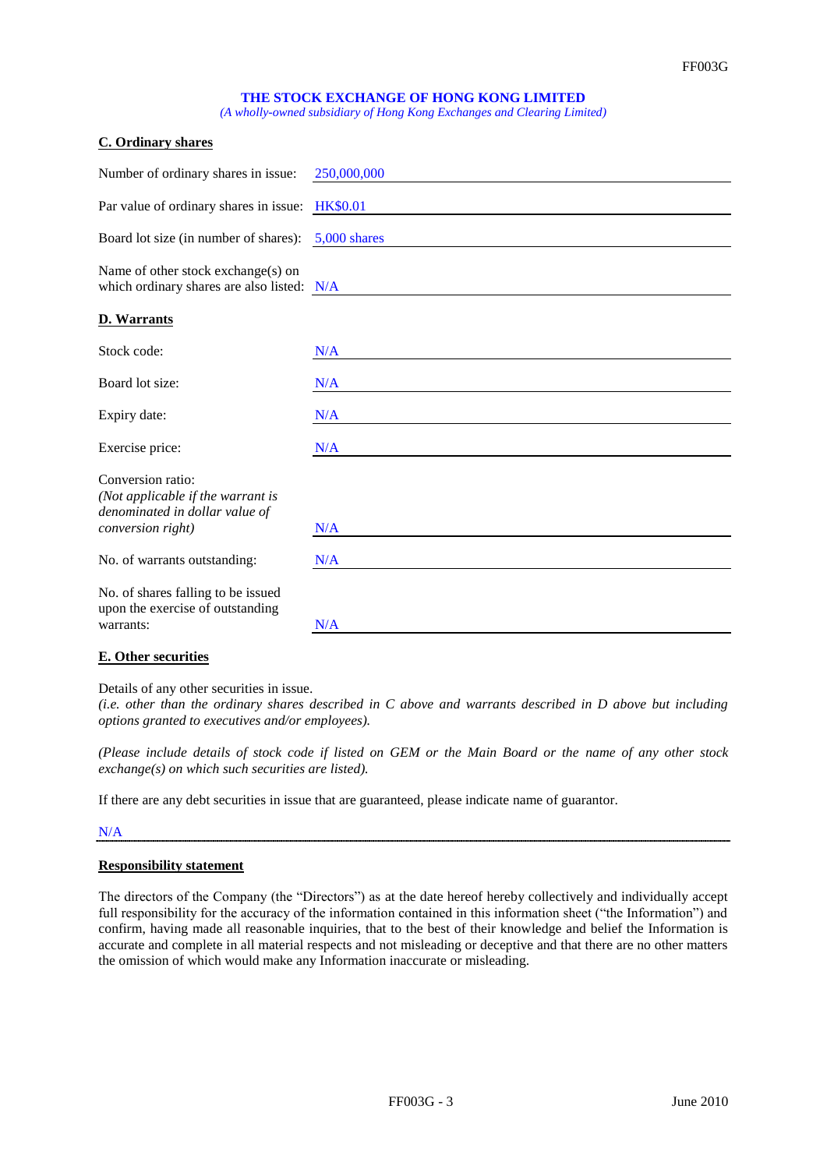*(A wholly-owned subsidiary of Hong Kong Exchanges and Clearing Limited)*

| <b>C. Ordinary shares</b>                                                                                     |                 |
|---------------------------------------------------------------------------------------------------------------|-----------------|
| Number of ordinary shares in issue:                                                                           | 250,000,000     |
| Par value of ordinary shares in issue:                                                                        | <b>HK\$0.01</b> |
| Board lot size (in number of shares):                                                                         | $5,000$ shares  |
| Name of other stock exchange(s) on<br>which ordinary shares are also listed: N/A                              |                 |
| <b>D. Warrants</b>                                                                                            |                 |
| Stock code:                                                                                                   | N/A             |
| Board lot size:                                                                                               | N/A             |
| Expiry date:                                                                                                  | N/A             |
| Exercise price:                                                                                               | N/A             |
| Conversion ratio:<br>(Not applicable if the warrant is<br>denominated in dollar value of<br>conversion right) | N/A             |
|                                                                                                               |                 |
| No. of warrants outstanding:                                                                                  | N/A             |
| No. of shares falling to be issued<br>upon the exercise of outstanding<br>warrants:                           | N/A             |
|                                                                                                               |                 |

### **E. Other securities**

Details of any other securities in issue.

*(i.e. other than the ordinary shares described in C above and warrants described in D above but including options granted to executives and/or employees).*

*(Please include details of stock code if listed on GEM or the Main Board or the name of any other stock exchange(s) on which such securities are listed).*

If there are any debt securities in issue that are guaranteed, please indicate name of guarantor.

### N/A

#### **Responsibility statement**

The directors of the Company (the "Directors") as at the date hereof hereby collectively and individually accept full responsibility for the accuracy of the information contained in this information sheet ("the Information") and confirm, having made all reasonable inquiries, that to the best of their knowledge and belief the Information is accurate and complete in all material respects and not misleading or deceptive and that there are no other matters the omission of which would make any Information inaccurate or misleading.